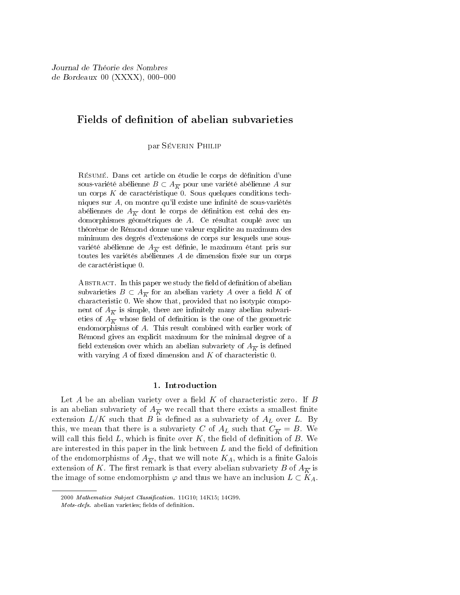# Fields of definition of abelian subvarieties

par Séverin Philip

Résumé. Dans cet article on étudie le corps de dénition d'une sous-variété abélienne  $B \subset A_{\overline{K}}$  pour une variété abélienne A sur un corps  $K$  de caractéristique 0. Sous quelques conditions techniques sur  $A$ , on montre qu'il existe une infinité de sous-variétés abéliennes de  $A_{\overline{k}}$  dont le corps de définition est celui des endomorphismes géométriques de A. Ce résultat couplé avec un théorème de Rémond donne une valeur explicite au maximum des minimum des degrés d'extensions de corps sur lesquels une sousvariété abélienne de  $A_{\overline{K}}$  est définie, le maximum étant pris sur toutes les variétés abéliennes  $A$  de dimension fixée sur un corps de caractéristique 0.

ABSTRACT. In this paper we study the field of definition of abelian subvarieties  $B \subset A_{\overline{K}}$  for an abelian variety A over a field K of characteristic 0. We show that, provided that no isotypic component of  $A_{\overline{K}}$  is simple, there are infinitely many abelian subvarieties of  $A_{\overline{K}}$  whose field of definition is the one of the geometric endomorphisms of A. This result combined with earlier work of Rémond gives an explicit maximum for the minimal degree of a field extension over which an abelian subvariety of  $A_{\overline{K}}$  is defined with varying  $A$  of fixed dimension and  $K$  of characteristic 0.

# 1. Introduction

Let A be an abelian variety over a field  $K$  of characteristic zero. If  $B$ is an abelian subvariety of  $A_{\overline{K}}$  we recall that there exists a smallest finite extension  $L/K$  such that B is defined as a subvariety of  $A_L$  over L. By this, we mean that there is a subvariety C of  $A_L$  such that  $C_{\overline{K}} = B$ . We will call this field  $L$ , which is finite over  $K$ , the field of definition of  $B$ . We are interested in this paper in the link between  $L$  and the field of definition of the endomorphisms of  $A_{\overline{K}}$ , that we will note  $K_A$ , which is a finite Galois extension of K. The first remark is that every abelian subvariety B of  $A_{\overline{K}}$  is the image of some endomorphism  $\varphi$  and thus we have an inclusion  $L \subset K_A$ .

<sup>2000</sup> Mathematics Subject Classification. 11G10; 14K15; 14G99.

Mots-clefs. abelian varieties; fields of definition.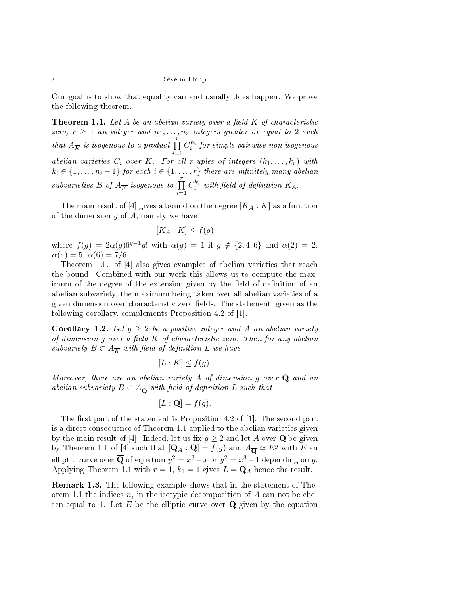Our goal is to show that equality can and usually does happen. We prove the following theorem.

**Theorem 1.1.** Let A be an abelian variety over a field K of characteristic zero,  $r \geq 1$  an integer and  $n_1, \ldots, n_r$  integers greater or equal to 2 such that  $A_{\overline{K}}$  is isogenous to a product  $\prod_{i=1}^{r}$  $C_i^{n_i}$  for simple pairwise non isogenous abelian varieties  $C_i$  over  $\overline{K}$ . For all r-uples of integers  $(k_1, \ldots, k_r)$  with  $k_i \in \{1, \ldots, n_i-1\}$  for each  $i \in \{1, \ldots, r\}$  there are infinitely many abelian subvarieties  $B$  of  $A_{\overline{K}}$  isogenous to  $\prod_{i=1}^r$  $C_i^{k_i}$  with field of definition  $K_A$ .

The main result of [4] gives a bound on the degree  $[K_A : K]$  as a function of the dimension  $g$  of  $A$ , namely we have

$$
[K_A:K] \le f(g)
$$

where  $f(g) = 2\alpha(g)6^{g-1}g!$  with  $\alpha(g) = 1$  if  $g \notin \{2, 4, 6\}$  and  $\alpha(2) = 2$ ,  $\alpha(4) = 5, \alpha(6) = 7/6.$ 

Theorem 1.1. of [4] also gives examples of abelian varieties that reach the bound. Combined with our work this allows us to compute the maximum of the degree of the extension given by the field of definition of an abelian subvariety, the maximum being taken over all abelian varieties of a given dimension over characteristic zero fields. The statement, given as the following corollary, complements Proposition 4.2 of [1].

**Corollary 1.2.** Let  $q \geq 2$  be a positive integer and A an abelian variety of dimension  $g$  over a field  $K$  of characteristic zero. Then for any abelian subvariety  $B \subset A_{\overline{K}}$  with field of definition L we have

$$
[L:K] \le f(g).
$$

Moreover, there are an abelian variety  $A$  of dimension  $g$  over  $Q$  and an abelian subvariety  $B \subset A_{\overline{\mathbf{Q}}}$  with field of definition L such that

$$
[L : \mathbf{Q}] = f(g).
$$

The first part of the statement is Proposition 4.2 of  $[1]$ . The second part is a direct consequence of Theorem 1.1 applied to the abelian varieties given by the main result of [4]. Indeed, let us fix  $g \geq 2$  and let A over **Q** be given by Theorem 1.1 of [4] such that  $[{\bf Q}_A : {\bf Q}] = f(g)$  and  $A_{\overline{\bf Q}} \simeq E^g$  with E an elliptic curve over  $\overline{\bf Q}$  of equation  $y^2=x^3-x$  or  $y^2=x^3-1$  depending on  $g$ . Applying Theorem 1.1 with  $r = 1$ ,  $k_1 = 1$  gives  $L = \mathbf{Q}_A$  hence the result.

Remark 1.3. The following example shows that in the statement of Theorem 1.1 the indices  $n_i$  in the isotypic decomposition of  $A$  can not be chosen equal to 1. Let  $E$  be the elliptic curve over  $Q$  given by the equation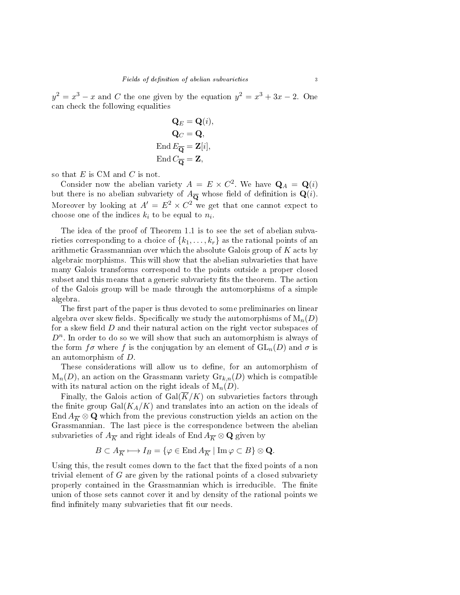$y^2 = x^3 - x$  and C the one given by the equation  $y^2 = x^3 + 3x - 2$ . One can check the following equalities

$$
\mathbf{Q}_E = \mathbf{Q}(i),
$$
  
\n
$$
\mathbf{Q}_C = \mathbf{Q},
$$
  
\nEnd  $E_{\overline{\mathbf{Q}}} = \mathbf{Z}[i],$   
\nEnd  $C_{\overline{\mathbf{Q}}} = \mathbf{Z},$ 

so that  $E$  is CM and  $C$  is not.

Consider now the abelian variety  $A = E \times C^2$ . We have  $\mathbf{Q}_A = \mathbf{Q}(i)$ but there is no abelian subvariety of  $A_{\overline{Q}}$  whose field of definition is  $Q(i)$ . Moreover by looking at  $A' = E^2 \times C^2$  we get that one cannot expect to choose one of the indices  $k_i$  to be equal to  $n_i$ .

The idea of the proof of Theorem 1.1 is to see the set of abelian subvarieties corresponding to a choice of  $\{k_1, \ldots, k_r\}$  as the rational points of an arithmetic Grassmannian over which the absolute Galois group of  $K$  acts by algebraic morphisms. This will show that the abelian subvarieties that have many Galois transforms correspond to the points outside a proper closed subset and this means that a generic subvariety fits the theorem. The action of the Galois group will be made through the automorphisms of a simple algebra.

The first part of the paper is thus devoted to some preliminaries on linear algebra over skew fields. Specifically we study the automorphisms of  $M_n(D)$ for a skew field  $D$  and their natural action on the right vector subspaces of  $D^n$ . In order to do so we will show that such an automorphism is always of the form  $f\sigma$  where f is the conjugation by an element of  $GL_n(D)$  and  $\sigma$  is an automorphism of D.

These considerations will allow us to define, for an automorphism of  $M_n(D)$ , an action on the Grassmann variety  $\mathrm{Gr}_{k,n}(D)$  which is compatible with its natural action on the right ideals of  $M_n(D)$ .

Finally, the Galois action of  $Gal(\overline{K}/K)$  on subvarieties factors through the finite group  $Gal(K_A/K)$  and translates into an action on the ideals of End  $A_{\overline{K}} \otimes \mathbf{Q}$  which from the previous construction yields an action on the Grassmannian. The last piece is the correspondence between the abelian subvarieties of  $A_{\overline{K}}$  and right ideals of End  $A_{\overline{K}} \otimes \mathbf{Q}$  given by

$$
B \subset A_{\overline{K}} \longmapsto I_B = \{ \varphi \in \text{End } A_{\overline{K}} \mid \text{Im } \varphi \subset B \} \otimes \mathbf{Q}.
$$

Using this, the result comes down to the fact that the fixed points of a non trivial element of  $G$  are given by the rational points of a closed subvariety properly contained in the Grassmannian which is irreducible. The finite union of those sets cannot cover it and by density of the rational points we find infinitely many subvarieties that fit our needs.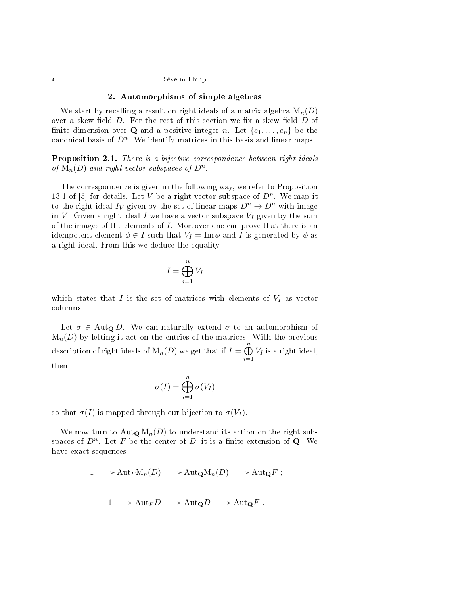### 2. Automorphisms of simple algebras

We start by recalling a result on right ideals of a matrix algebra  $M_n(D)$ over a skew field  $D$ . For the rest of this section we fix a skew field  $D$  of finite dimension over **Q** and a positive integer n. Let  $\{e_1, \ldots, e_n\}$  be the canonical basis of  $D^n$ . We identify matrices in this basis and linear maps.

**Proposition 2.1.** There is a bijective correspondence between right ideals of  $M_n(D)$  and right vector subspaces of  $D^n$ .

The correspondence is given in the following way, we refer to Proposition 13.1 of [5] for details. Let V be a right vector subspace of  $D<sup>n</sup>$ . We map it to the right ideal  $I_V$  given by the set of linear maps  $D^n \to D^n$  with image in V. Given a right ideal I we have a vector subspace  $V_I$  given by the sum of the images of the elements of  $I$ . Moreover one can prove that there is an idempotent element  $\phi \in I$  such that  $V_I = \text{Im } \phi$  and I is generated by  $\phi$  as a right ideal. From this we deduce the equality

$$
I = \bigoplus_{i=1}^{n} V_I
$$

which states that  $I$  is the set of matrices with elements of  $V_I$  as vector columns.

Let  $\sigma \in \text{Aut}_{\mathbf{Q}} D$ . We can naturally extend  $\sigma$  to an automorphism of  $M_n(D)$  by letting it act on the entries of the matrices. With the previous description of right ideals of  $M_n(D)$  we get that if  $I = \bigoplus^n$  $i=1$  $V_I$  is a right ideal, then

$$
\sigma(I) = \bigoplus_{i=1}^n \sigma(V_I)
$$

so that  $\sigma(I)$  is mapped through our bijection to  $\sigma(V_I)$ .

We now turn to  $\text{Aut}_{\mathbf{Q}} M_n(D)$  to understand its action on the right subspaces of  $D^n$ . Let F be the center of D, it is a finite extension of Q. We have exact sequences

$$
1 \longrightarrow \text{Aut}_{F}M_{n}(D) \longrightarrow \text{Aut}_{\mathbf{Q}}M_{n}(D) \longrightarrow \text{Aut}_{\mathbf{Q}}F ;
$$
  

$$
1 \longrightarrow \text{Aut}_{F}D \longrightarrow \text{Aut}_{\mathbf{Q}}D \longrightarrow \text{Aut}_{\mathbf{Q}}F .
$$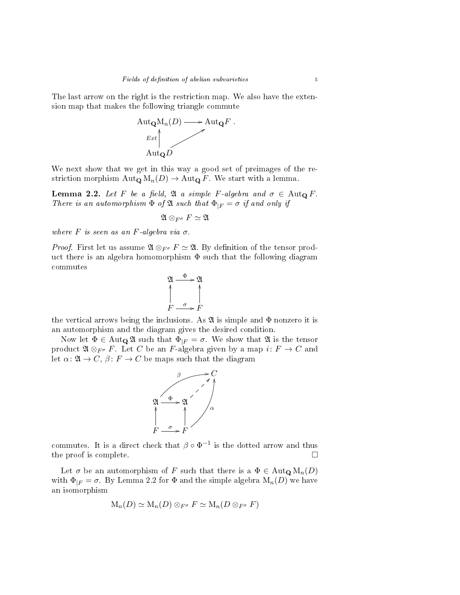The last arrow on the right is the restriction map. We also have the extension map that makes the following triangle commute



We next show that we get in this way a good set of preimages of the restriction morphism  $\text{Aut}_{\mathbf{Q}} M_n(D) \to \text{Aut}_{\mathbf{Q}} F$ . We start with a lemma.

Lemma 2.2. Let F be a field,  $\mathfrak A$  a simple F-algebra and  $\sigma \in \text{Aut}_{\mathbf Q} F$ . There is an automorphism  $\Phi$  of  $\mathfrak A$  such that  $\Phi_{|F} = \sigma$  if and only if

$$
\mathfrak{A} \otimes_{F^\sigma} F \simeq \mathfrak{A}
$$

where  $F$  is seen as an  $F$ -algebra via  $\sigma$ .

*Proof.* First let us assume  $\mathfrak{A} \otimes_{F^{\sigma}} F \simeq \mathfrak{A}$ . By definition of the tensor product there is an algebra homomorphism  $\Phi$  such that the following diagram commutes



the vertical arrows being the inclusions. As  $\mathfrak A$  is simple and  $\Phi$  nonzero it is an automorphism and the diagram gives the desired condition.

Now let  $\Phi \in \text{Aut}_{\mathbf{Q}}\mathfrak{A}$  such that  $\Phi_{|F} = \sigma$ . We show that  $\mathfrak{A}$  is the tensor product  $\mathfrak{A} \otimes_{F^{\sigma}} F$ . Let C be an F-algebra given by a map  $i: F \to C$  and let  $\alpha: \mathfrak{A} \to C, \beta: F \to C$  be maps such that the diagram



commutes. It is a direct check that  $\beta \circ \Phi^{-1}$  is the dotted arrow and thus the proof is complete.

Let  $\sigma$  be an automorphism of F such that there is a  $\Phi \in \text{Aut}_{\mathbf{Q}} \mathbf{M}_n(D)$ with  $\Phi_{|F} = \sigma$ . By Lemma 2.2 for  $\Phi$  and the simple algebra  $M_n(D)$  we have an isomorphism

$$
\mathrm{M}_n(D) \simeq \mathrm{M}_n(D) \otimes_{F^\sigma} F \simeq \mathrm{M}_n(D \otimes_{F^\sigma} F)
$$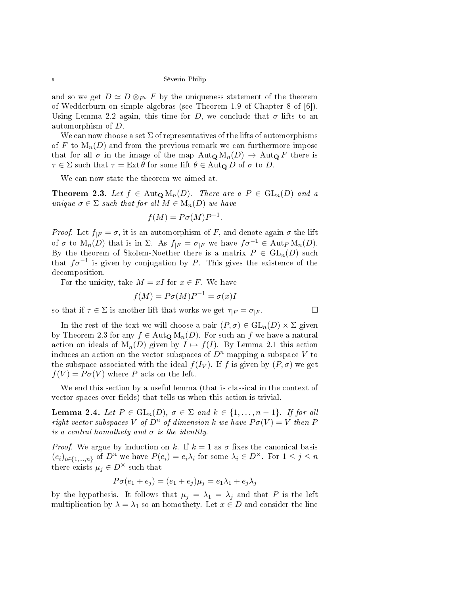and so we get  $D \simeq D \otimes_{F^{\sigma}} F$  by the uniqueness statement of the theorem of Wedderburn on simple algebras (see Theorem 1.9 of Chapter 8 of [6]). Using Lemma 2.2 again, this time for D, we conclude that  $\sigma$  lifts to an automorphism of D.

We can now choose a set  $\Sigma$  of representatives of the lifts of automorphisms of F to  $M_n(D)$  and from the previous remark we can furthermore impose that for all  $\sigma$  in the image of the map  $\text{Aut}_{\mathbf{Q}}\text{M}_n(D) \to \text{Aut}_{\mathbf{Q}}\text{F}$  there is  $\tau \in \Sigma$  such that  $\tau = \text{Ext}\,\theta$  for some lift  $\theta \in \text{Aut}_{\mathbf{Q}}\,D$  of  $\sigma$  to D.

We can now state the theorem we aimed at.

Theorem 2.3. Let  $f \in \text{Aut}_{\mathbf{Q}}\text{M}_n(D)$ . There are a  $P \in \text{GL}_n(D)$  and a unique  $\sigma \in \Sigma$  such that for all  $M \in M_n(D)$  we have

$$
f(M) = P\sigma(M)P^{-1}.
$$

*Proof.* Let  $f_{|F} = \sigma$ , it is an automorphism of F, and denote again  $\sigma$  the lift of  $\sigma$  to  $M_n(D)$  that is in  $\Sigma$ . As  $f_{|F} = \sigma_{|F}$  we have  $f\sigma^{-1} \in \text{Aut}_F M_n(D)$ . By the theorem of Skolem-Noether there is a matrix  $P \in GL_n(D)$  such that  $f\sigma^{-1}$  is given by conjugation by P. This gives the existence of the decomposition.

For the unicity, take  $M = xI$  for  $x \in F$ . We have

$$
f(M) = P\sigma(M)P^{-1} = \sigma(x)I
$$

so that if  $\tau \in \Sigma$  is another lift that works we get  $\tau_{|F} = \sigma_{|F}$ .

In the rest of the text we will choose a pair  $(P, \sigma) \in GL_n(D) \times \Sigma$  given by Theorem 2.3 for any  $f \in \text{Aut}_{\mathbf{Q}} M_n(D)$ . For such an f we have a natural action on ideals of  $M_n(D)$  given by  $I \mapsto f(I)$ . By Lemma 2.1 this action induces an action on the vector subspaces of  $D^n$  mapping a subspace V to the subspace associated with the ideal  $f(I_V)$ . If f is given by  $(P, \sigma)$  we get  $f(V) = P\sigma(V)$  where P acts on the left.

We end this section by a useful lemma (that is classical in the context of vector spaces over fields) that tells us when this action is trivial.

**Lemma 2.4.** Let  $P \in GL_n(D)$ ,  $\sigma \in \Sigma$  and  $k \in \{1, ..., n-1\}$ . If for all right vector subspaces V of  $D^n$  of dimension k we have  $P\sigma(V) = V$  then P is a central homothety and  $\sigma$  is the identity.

*Proof.* We argue by induction on k. If  $k = 1$  as  $\sigma$  fixes the canonical basis  $(e_i)_{i\in\{1,\ldots,n\}}$  of  $D^n$  we have  $P(e_i) = e_i\lambda_i$  for some  $\lambda_i \in D^\times$ . For  $1 \leq j \leq n$ there exists  $\mu_i \in D^{\times}$  such that

$$
P\sigma(e_1 + e_j) = (e_1 + e_j)\mu_j = e_1\lambda_1 + e_j\lambda_j
$$

by the hypothesis. It follows that  $\mu_j = \lambda_1 = \lambda_j$  and that P is the left multiplication by  $\lambda = \lambda_1$  so an homothety. Let  $x \in D$  and consider the line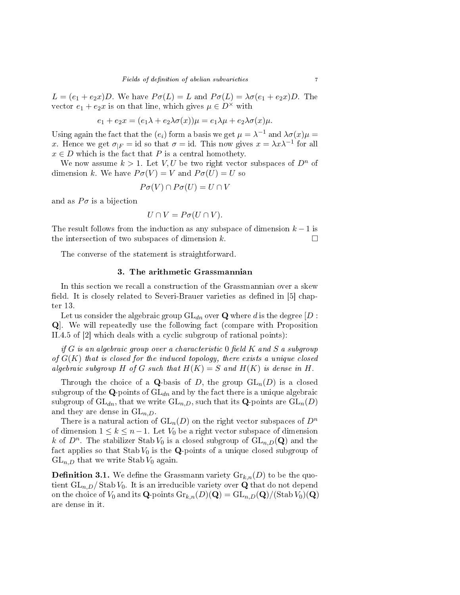$L = (e_1 + e_2 x)D$ . We have  $P\sigma(L) = L$  and  $P\sigma(L) = \lambda \sigma(e_1 + e_2 x)D$ . The vector  $e_1 + e_2x$  is on that line, which gives  $\mu \in D^{\times}$  with

$$
e_1 + e_2 x = (e_1 \lambda + e_2 \lambda \sigma(x))\mu = e_1 \lambda \mu + e_2 \lambda \sigma(x)\mu.
$$

Using again the fact that the  $(e_i)$  form a basis we get  $\mu = \lambda^{-1}$  and  $\lambda \sigma(x) \mu =$ x. Hence we get  $\sigma_{|F} = id$  so that  $\sigma = id$ . This now gives  $x = \lambda x \lambda^{-1}$  for all  $x \in D$  which is the fact that P is a central homothety.

We now assume  $k > 1$ . Let V, U be two right vector subspaces of  $D^n$  of dimension k. We have  $P\sigma(V) = V$  and  $P\sigma(U) = U$  so

$$
P\sigma(V) \cap P\sigma(U) = U \cap V
$$

and as  $P\sigma$  is a bijection

$$
U \cap V = P\sigma(U \cap V).
$$

The result follows from the induction as any subspace of dimension  $k-1$  is the intersection of two subspaces of dimension k.  $\square$ 

The converse of the statement is straightforward.

# 3. The arithmetic Grassmannian

In this section we recall a construction of the Grassmannian over a skew field. It is closely related to Severi-Brauer varieties as defined in  $[5]$  chapter 13.

Let us consider the algebraic group  $GL_{dn}$  over Q where d is the degree [D : Q]. We will repeatedly use the following fact (compare with Proposition II.4.5 of [2] which deals with a cyclic subgroup of rational points):

if G is an algebraic group over a characteristic  $0$  field K and S a subgroup of  $G(K)$  that is closed for the induced topology, there exists a unique closed algebraic subgroup H of G such that  $H(K) = S$  and  $H(K)$  is dense in H.

Through the choice of a Q-basis of D, the group  $GL_n(D)$  is a closed subgroup of the  $\mathbf Q$ -points of  $\mathrm{GL}_{dn}$  and by the fact there is a unique algebraic subgroup of  $GL_{dn}$ , that we write  $GL_{n,D}$ , such that its **Q**-points are  $GL_n(D)$ and they are dense in  $GL_{n,D}$ .

There is a natural action of  $GL_n(D)$  on the right vector subspaces of  $D^n$ of dimension  $1 \leq k \leq n-1$ . Let  $V_0$  be a right vector subspace of dimension k of  $D^n$ . The stabilizer Stab  $V_0$  is a closed subgroup of  $\text{GL}_{n,D}(\mathbf{Q})$  and the fact applies so that  $\text{Stab }V_0$  is the **Q**-points of a unique closed subgroup of  $GL_{n,D}$  that we write Stab  $V_0$  again.

**Definition 3.1.** We define the Grassmann variety  $\mathrm{Gr}_{k,n}(D)$  to be the quotient  $GL_{n,D}/$  Stab  $V_0$ . It is an irreducible variety over Q that do not depend on the choice of  $V_0$  and its **Q**-points  $\text{Gr}_{k,n}(D)(\mathbf{Q}) = \text{GL}_{n,D}(\mathbf{Q})/(\text{Stab }V_0)(\mathbf{Q})$ are dense in it.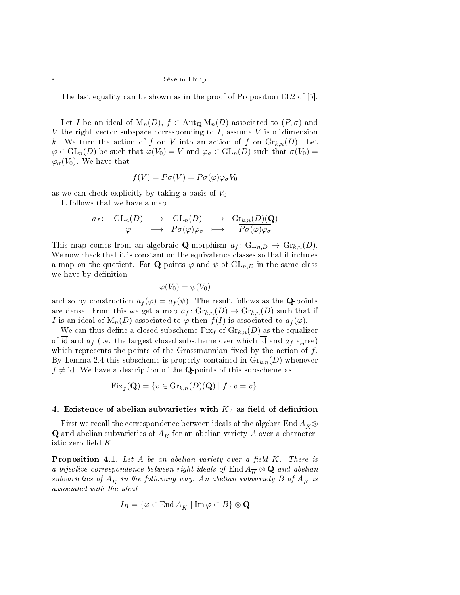The last equality can be shown as in the proof of Proposition 13.2 of [5].

Let I be an ideal of  $M_n(D)$ ,  $f \in \text{Aut}_{\mathbf{Q}} M_n(D)$  associated to  $(P, \sigma)$  and V the right vector subspace corresponding to I, assume V is of dimension k. We turn the action of f on V into an action of f on  $\mathrm{Gr}_{k,n}(D)$ . Let  $\varphi \in GL_n(D)$  be such that  $\varphi(V_0) = V$  and  $\varphi_{\sigma} \in GL_n(D)$  such that  $\sigma(V_0) =$  $\varphi_{\sigma}(V_0)$ . We have that

$$
f(V) = P\sigma(V) = P\sigma(\varphi)\varphi_{\sigma}V_0
$$

as we can check explicitly by taking a basis of  $V_0$ .

It follows that we have a map

$$
a_f
$$
:  $GL_n(D) \longrightarrow GL_n(D) \longrightarrow Gr_{k,n}(D)(Q)$   
 $\varphi \longrightarrow Po(\varphi)\varphi_{\sigma} \longrightarrow Po(\varphi)\varphi_{\sigma}$ 

This map comes from an algebraic **Q**-morphism  $a_f: GL_{n,D} \to Gr_{k,n}(D)$ . We now check that it is constant on the equivalence classes so that it induces a map on the quotient. For **Q**-points  $\varphi$  and  $\psi$  of  $\mathrm{GL}_{n,D}$  in the same class we have by definition

$$
\varphi(V_0)=\psi(V_0)
$$

and so by construction  $a_f(\varphi) = a_f(\psi)$ . The result follows as the **Q**-points are dense. From this we get a map  $\overline{a_f}$ :  $\mathrm{Gr}_{k,n}(D) \to \mathrm{Gr}_{k,n}(D)$  such that if I is an ideal of  $M_n(D)$  associated to  $\overline{\varphi}$  then  $f(I)$  is associated to  $\overline{a_f}(\overline{\varphi})$ .

We can thus define a closed subscheme  $Fix_f$  of  $Gr_{k,n}(D)$  as the equalizer of id and  $\overline{a_f}$  (i.e. the largest closed subscheme over which  $\overline{id}$  and  $\overline{a_f}$  agree) which represents the points of the Grassmannian fixed by the action of  $f$ . By Lemma 2.4 this subscheme is properly contained in  $\mathrm{Gr}_{k,n}(D)$  whenever  $f \neq id$ . We have a description of the **Q**-points of this subscheme as

$$
Fix_f(\mathbf{Q}) = \{ v \in \mathrm{Gr}_{k,n}(D)(\mathbf{Q}) \mid f \cdot v = v \}.
$$

## 4. Existence of abelian subvarieties with  $K_A$  as field of definition

First we recall the correspondence between ideals of the algebra End  $A_{\overline{K}}$ **Q** and abelian subvarieties of  $A_{\overline{K}}$  for an abelian variety A over a characteristic zero field  $K$ .

**Proposition 4.1.** Let A be an abelian variety over a field  $K$ . There is a bijective correspondence between right ideals of End  $A_{\overline{K}} \otimes \mathbf{Q}$  and abelian subvarieties of  $A_{\overline{K}}$  in the following way. An abelian subvariety B of  $A_{\overline{K}}$  is associated with the ideal

$$
I_B = \{ \varphi \in \text{End}\, A_{\overline{K}} \mid \text{Im}\, \varphi \subset B \} \otimes \mathbf{Q}
$$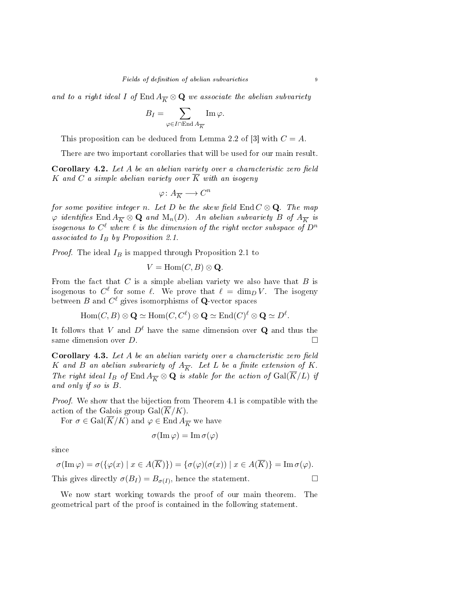and to a right ideal I of End  $A_{\overline{K}} \otimes \mathbf{Q}$  we associate the abelian subvariety

$$
B_I = \sum_{\varphi \in I \cap \operatorname{End} A_{\overline{K}}}\operatorname{Im} \varphi.
$$

This proposition can be deduced from Lemma 2.2 of [3] with  $C = A$ .

There are two important corollaries that will be used for our main result.

**Corollary 4.2.** Let  $A$  be an abelian variety over a characteristic zero field K and C a simple abelian variety over  $\overline{K}$  with an isogeny

$$
\varphi\colon A_{\overline{K}}\longrightarrow C^n
$$

for some positive integer n. Let D be the skew field  $\text{End }C \otimes \textbf{Q}$ . The map  $\varphi$  identifies End  $A_{\overline{K}} \otimes \mathbf{Q}$  and  $\mathrm{M}_n(D)$ . An abelian subvariety B of  $A_{\overline{K}}$  is isogenous to  $C^\ell$  where  $\ell$  is the dimension of the right vector subspace of  $D^n$ associated to  $I_B$  by Proposition 2.1.

*Proof.* The ideal  $I_B$  is mapped through Proposition 2.1 to

$$
V = \text{Hom}(C, B) \otimes \mathbf{Q}.
$$

From the fact that  $C$  is a simple abelian variety we also have that  $B$  is isogenous to  $C^{\ell}$  for some  $\ell$ . We prove that  $\ell = \dim_D V$ . The isogeny between  $B$  and  $C^\ell$  gives isomorphisms of  ${\bf Q}$ -vector spaces

$$
\mathrm{Hom}(C, B) \otimes \mathbf{Q} \simeq \mathrm{Hom}(C, C^{\ell}) \otimes \mathbf{Q} \simeq \mathrm{End}(C)^{\ell} \otimes \mathbf{Q} \simeq D^{\ell}.
$$

It follows that V and  $D^{\ell}$  have the same dimension over Q and thus the same dimension over  $D$ .

**Corollary 4.3.** Let  $A$  be an abelian variety over a characteristic zero field K and B an abelian subvariety of  $A_{\overline{K}}$ . Let L be a finite extension of K. The right ideal I<sub>B</sub> of End  $A_{\overline{K}} \otimes \mathbf{Q}$  is stable for the action of  $Gal(\overline{K}/L)$  if and only if so is B.

Proof. We show that the bijection from Theorem 4.1 is compatible with the action of the Galois group  $Gal(\overline{K}/K)$ .

For  $\sigma \in \text{Gal}(\overline{K}/K)$  and  $\varphi \in \text{End } A_{\overline{K}}$  we have

$$
\sigma(\operatorname{Im}\varphi)=\operatorname{Im}\sigma(\varphi)
$$

since

$$
\sigma(\text{Im }\varphi) = \sigma(\{\varphi(x) \mid x \in A(\overline{K})\}) = \{\sigma(\varphi)(\sigma(x)) \mid x \in A(\overline{K})\} = \text{Im }\sigma(\varphi).
$$
  
This gives directly  $\sigma(B_I) = B_{\sigma(I)}$ , hence the statement.

We now start working towards the proof of our main theorem. The geometrical part of the proof is contained in the following statement.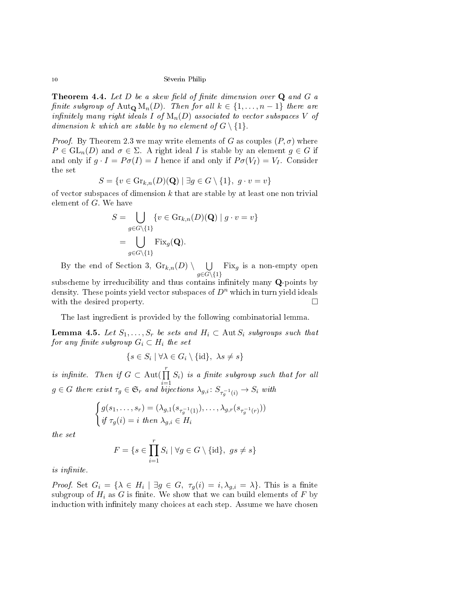**Theorem 4.4.** Let  $D$  be a skew field of finite dimension over  $Q$  and  $G$  a finite subgroup of Aut<sub>Q</sub> M<sub>n</sub>(D). Then for all  $k \in \{1, ..., n-1\}$  there are infinitely many right ideals I of  $M_n(D)$  associated to vector subspaces V of dimension k which are stable by no element of  $G \setminus \{1\}$ .

*Proof.* By Theorem 2.3 we may write elements of G as couples  $(P, \sigma)$  where  $P \in GL_n(D)$  and  $\sigma \in \Sigma$ . A right ideal I is stable by an element  $g \in G$  if and only if  $g \cdot I = P \sigma(I) = I$  hence if and only if  $P \sigma(V_I) = V_I$ . Consider the set

$$
S = \{ v \in \text{Gr}_{k,n}(D)(\mathbf{Q}) \mid \exists g \in G \setminus \{1\}, g \cdot v = v \}
$$

of vector subspaces of dimension  $k$  that are stable by at least one non trivial element of G. We have

$$
S = \bigcup_{g \in G \setminus \{1\}} \{v \in \text{Gr}_{k,n}(D)(\mathbf{Q}) \mid g \cdot v = v\}
$$

$$
= \bigcup_{g \in G \setminus \{1\}} \text{Fix}_g(\mathbf{Q}).
$$

By the end of Section 3,  $\mathrm{Gr}_{k,n}(D) \setminus \cup$  $g{\in}G\backslash\{1\}$  $Fix_g$  is a non-empty open

subscheme by irreducibility and thus contains infinitely many  $Q$ -points by density. These points yield vector subspaces of  $D<sup>n</sup>$  which in turn yield ideals with the desired property.

The last ingredient is provided by the following combinatorial lemma.

**Lemma 4.5.** Let  $S_1, \ldots, S_r$  be sets and  $H_i \subset \text{Aut } S_i$  subgroups such that for any finite subgroup  $G_i \subset H_i$  the set

$$
\{s \in S_i \mid \forall \lambda \in G_i \setminus \{\mathrm{id}\}, \ \lambda s \neq s\}
$$

is infinite. Then if  $G \subset \text{Aut}(\prod_{r=1}^{r}$  $i=1$  $S_i)$  is a finite subgroup such that for all  $g \in G$  there exist  $\tau_g \in \mathfrak{S}_r$  and bijections  $\lambda_{g,i} \colon S_{\tau_g^{-1}(i)} \to S_i$  with

$$
\begin{cases}\ng(s_1, \ldots, s_r) = (\lambda_{g,1}(s_{\tau_g^{-1}(1)}), \ldots, \lambda_{g,r}(s_{\tau_g^{-1}(r)})) \\
\text{if } \tau_g(i) = i \text{ then } \lambda_{g,i} \in H_i\n\end{cases}
$$

the set

$$
F = \{ s \in \prod_{i=1}^{r} S_i \mid \forall g \in G \setminus \{ \text{id} \}, \ g s \neq s \}
$$

is infinite.

*Proof.* Set  $G_i = \{ \lambda \in H_i \mid \exists g \in G, \tau_g(i) = i, \lambda_{g,i} = \lambda \}.$  This is a finite subgroup of  $H_i$  as G is finite. We show that we can build elements of F by induction with infinitely many choices at each step. Assume we have chosen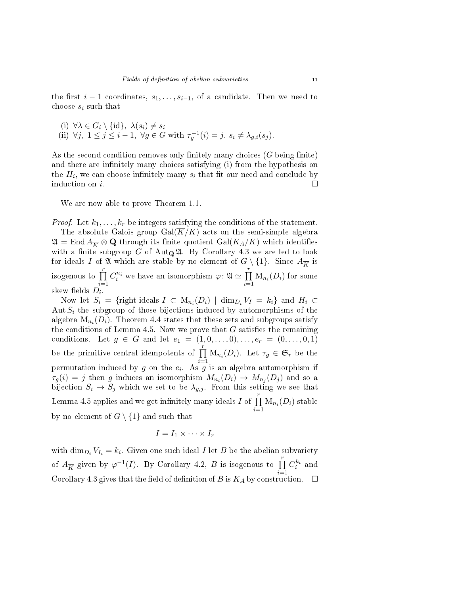the first  $i - 1$  coordinates,  $s_1, \ldots, s_{i-1}$ , of a candidate. Then we need to choose  $s_i$  such that

(i) 
$$
\forall \lambda \in G_i \setminus \{id\}, \ \lambda(s_i) \neq s_i
$$
  
(ii)  $\forall j, \ 1 \leq j \leq i-1, \ \forall g \in G \text{ with } \tau_g^{-1}(i) = j, \ s_i \neq \lambda_{g,i}(s_j).$ 

As the second condition removes only finitely many choices  $(G$  being finite) and there are infinitely many choices satisfying (i) from the hypothesis on the  $H_i$ , we can choose infinitely many  $s_i$  that fit our need and conclude by induction on i.

We are now able to prove Theorem 1.1.

*Proof.* Let  $k_1, \ldots, k_r$  be integers satisfying the conditions of the statement. The absolute Galois group  $Gal(K/K)$  acts on the semi-simple algebra  $\mathfrak{A}=\operatorname{End} A_{\overline{K}}\otimes \mathbf{Q}$  through its finite quotient  $\operatorname{Gal}(K_A/K)$  which identifies with a finite subgroup G of Aut $_{\mathbf{Q}}\mathfrak{A}$ . By Corollary 4.3 we are led to look for ideals I of  $\mathfrak{A}$  which are stable by no element of  $G \setminus \{1\}$ . Since  $A_{\overline{K}}$  is isogenous to  $\prod^r$  $i=1$  $C_i^{n_i}$  we have an isomorphism  $\varphi \colon \mathfrak{A} \simeq \prod^r$  $\prod_{i=1} M_{n_i}(D_i)$  for some skew fields  $D_i$ .

Now let  $S_i = \{ \text{right ideals } I \subset M_{n_i}(D_i) \mid \dim_{D_i} V_I = k_i \}$  and  $H_i \subset$ Aut  $S_i$  the subgroup of those bijections induced by automorphisms of the algebra  $\mathrm{M}_{n_i}(D_i)$ . Theorem 4.4 states that these sets and subgroups satisfy the conditions of Lemma 4.5. Now we prove that  $G$  satisfies the remaining conditions. Let  $g \in G$  and let  $e_1 = (1, 0, \ldots, 0), \ldots, e_r = (0, \ldots, 0, 1)$ be the primitive central idempotents of  $\prod_{i=1}^{r}$  $\prod_{i=1} M_{n_i}(D_i)$ . Let  $\tau_g \in \mathfrak{S}_r$  be the permutation induced by  $g$  on the  $e_i$ . As  $g$  is an algebra automorphism if  $\tau_g(i) = j$  then g induces an isomorphism  $M_{n_i}(D_i) \rightarrow M_{n_j}(D_j)$  and so a bijection  $S_i \to S_j$  which we set to be  $\lambda_{g,j}$ . From this setting we see that Lemma 4.5 applies and we get infinitely many ideals I of  $\prod_{i=1}^{r}$  $\prod_{i=1} M_{n_i}(D_i)$  stable by no element of  $G \setminus \{1\}$  and such that

$$
I = I_1 \times \cdots \times I_r
$$

with  $\dim_{D_i} V_{I_i} = k_i$ . Given one such ideal I let B be the abelian subvariety of  $A_{\overline{K}}$  given by  $\varphi^{-1}(I)$ . By Corollary 4.2, B is isogenous to  $\prod_{i=1}^{r}$  $i=1$  $C_i^{k_i}$  and Corollary 4.3 gives that the field of definition of B is  $K_A$  by construction.  $\Box$